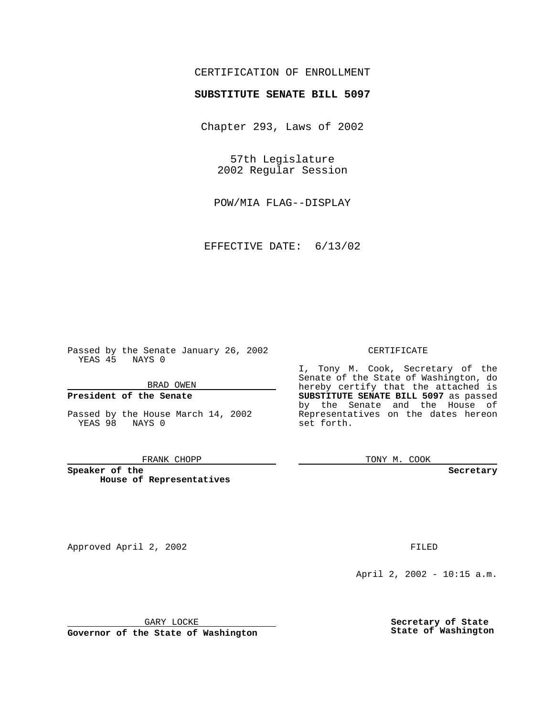## CERTIFICATION OF ENROLLMENT

# **SUBSTITUTE SENATE BILL 5097**

Chapter 293, Laws of 2002

57th Legislature 2002 Regular Session

POW/MIA FLAG--DISPLAY

EFFECTIVE DATE: 6/13/02

Passed by the Senate January 26, 2002 YEAS 45 NAYS 0

#### BRAD OWEN

### **President of the Senate**

Passed by the House March 14, 2002 YEAS 98 NAYS 0

#### FRANK CHOPP

**Speaker of the House of Representatives**

Approved April 2, 2002 **FILED** 

#### CERTIFICATE

I, Tony M. Cook, Secretary of the Senate of the State of Washington, do hereby certify that the attached is **SUBSTITUTE SENATE BILL 5097** as passed by the Senate and the House of Representatives on the dates hereon set forth.

TONY M. COOK

**Secretary**

April 2, 2002 - 10:15 a.m.

GARY LOCKE

**Governor of the State of Washington**

**Secretary of State State of Washington**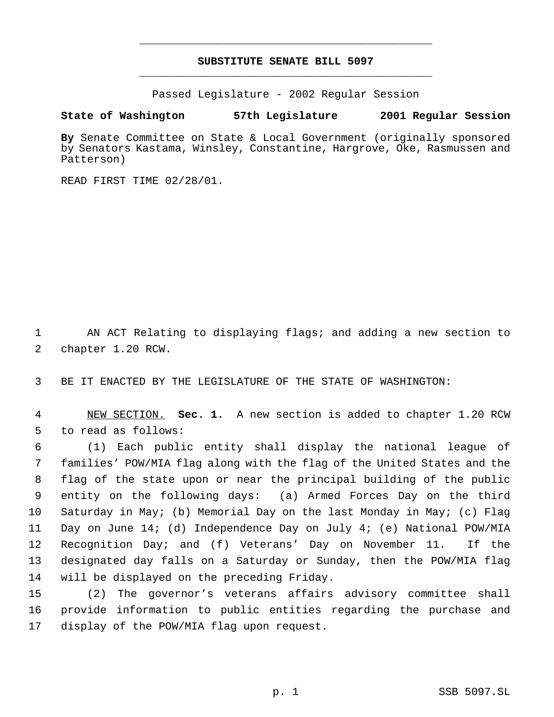## **SUBSTITUTE SENATE BILL 5097** \_\_\_\_\_\_\_\_\_\_\_\_\_\_\_\_\_\_\_\_\_\_\_\_\_\_\_\_\_\_\_\_\_\_\_\_\_\_\_\_\_\_\_\_\_

\_\_\_\_\_\_\_\_\_\_\_\_\_\_\_\_\_\_\_\_\_\_\_\_\_\_\_\_\_\_\_\_\_\_\_\_\_\_\_\_\_\_\_\_\_

Passed Legislature - 2002 Regular Session

### **State of Washington 57th Legislature 2001 Regular Session**

**By** Senate Committee on State & Local Government (originally sponsored by Senators Kastama, Winsley, Constantine, Hargrove, Oke, Rasmussen and Patterson)

READ FIRST TIME 02/28/01.

 AN ACT Relating to displaying flags; and adding a new section to chapter 1.20 RCW.

BE IT ENACTED BY THE LEGISLATURE OF THE STATE OF WASHINGTON:

 NEW SECTION. **Sec. 1.** A new section is added to chapter 1.20 RCW to read as follows:

 (1) Each public entity shall display the national league of families' POW/MIA flag along with the flag of the United States and the flag of the state upon or near the principal building of the public entity on the following days: (a) Armed Forces Day on the third Saturday in May; (b) Memorial Day on the last Monday in May; (c) Flag Day on June 14; (d) Independence Day on July 4; (e) National POW/MIA Recognition Day; and (f) Veterans' Day on November 11. If the designated day falls on a Saturday or Sunday, then the POW/MIA flag will be displayed on the preceding Friday.

 (2) The governor's veterans affairs advisory committee shall provide information to public entities regarding the purchase and display of the POW/MIA flag upon request.